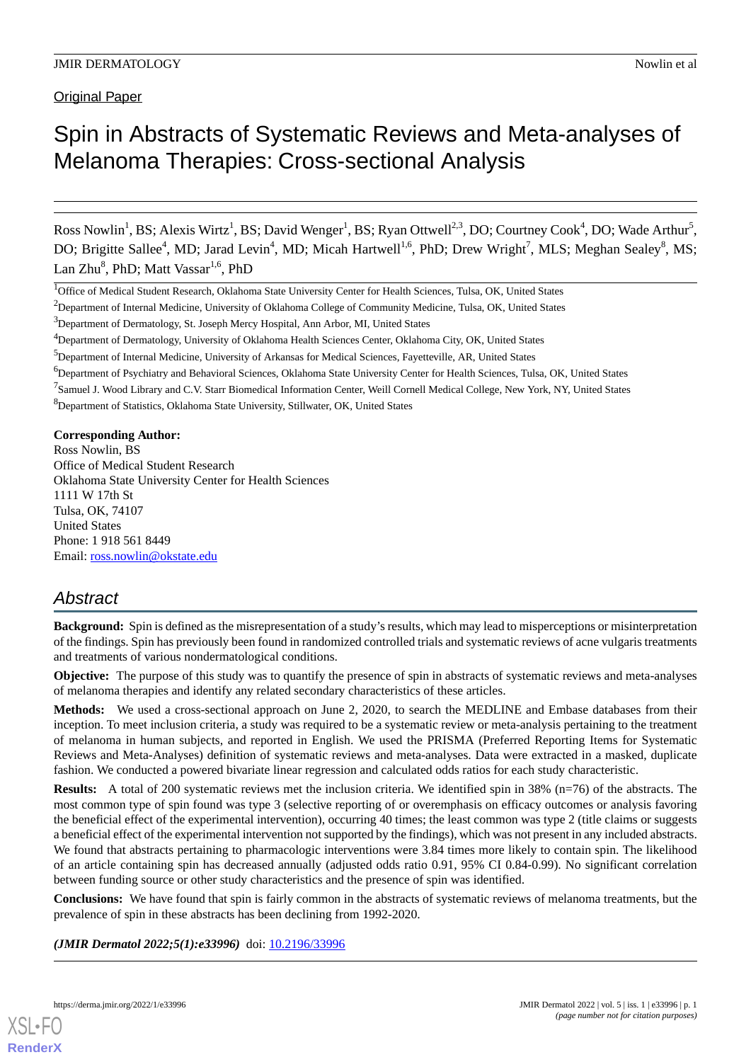**Original Paper** 

# Spin in Abstracts of Systematic Reviews and Meta-analyses of Melanoma Therapies: Cross-sectional Analysis

Ross Nowlin<sup>1</sup>, BS; Alexis Wirtz<sup>1</sup>, BS; David Wenger<sup>1</sup>, BS; Ryan Ottwell<sup>2,3</sup>, DO; Courtney Cook<sup>4</sup>, DO; Wade Arthur<sup>5</sup>, DO; Brigitte Sallee<sup>4</sup>, MD; Jarad Levin<sup>4</sup>, MD; Micah Hartwell<sup>1,6</sup>, PhD; Drew Wright<sup>7</sup>, MLS; Meghan Sealey<sup>8</sup>, MS; Lan Zhu<sup>8</sup>, PhD; Matt Vassar<sup>1,6</sup>, PhD

<sup>1</sup>Office of Medical Student Research, Oklahoma State University Center for Health Sciences, Tulsa, OK, United States

<sup>6</sup>Department of Psychiatry and Behavioral Sciences, Oklahoma State University Center for Health Sciences, Tulsa, OK, United States

**Corresponding Author:**

Ross Nowlin, BS Office of Medical Student Research Oklahoma State University Center for Health Sciences 1111 W 17th St Tulsa, OK, 74107 United States Phone: 1 918 561 8449 Email: [ross.nowlin@okstate.edu](mailto:ross.nowlin@okstate.edu)

# *Abstract*

**Background:** Spin is defined as the misrepresentation of a study's results, which may lead to misperceptions or misinterpretation of the findings. Spin has previously been found in randomized controlled trials and systematic reviews of acne vulgaris treatments and treatments of various nondermatological conditions.

**Objective:** The purpose of this study was to quantify the presence of spin in abstracts of systematic reviews and meta-analyses of melanoma therapies and identify any related secondary characteristics of these articles.

**Methods:** We used a cross-sectional approach on June 2, 2020, to search the MEDLINE and Embase databases from their inception. To meet inclusion criteria, a study was required to be a systematic review or meta-analysis pertaining to the treatment of melanoma in human subjects, and reported in English. We used the PRISMA (Preferred Reporting Items for Systematic Reviews and Meta-Analyses) definition of systematic reviews and meta-analyses. Data were extracted in a masked, duplicate fashion. We conducted a powered bivariate linear regression and calculated odds ratios for each study characteristic.

**Results:** A total of 200 systematic reviews met the inclusion criteria. We identified spin in 38% (n=76) of the abstracts. The most common type of spin found was type 3 (selective reporting of or overemphasis on efficacy outcomes or analysis favoring the beneficial effect of the experimental intervention), occurring 40 times; the least common was type 2 (title claims or suggests a beneficial effect of the experimental intervention not supported by the findings), which was not present in any included abstracts. We found that abstracts pertaining to pharmacologic interventions were 3.84 times more likely to contain spin. The likelihood of an article containing spin has decreased annually (adjusted odds ratio 0.91, 95% CI 0.84-0.99). No significant correlation between funding source or other study characteristics and the presence of spin was identified.

**Conclusions:** We have found that spin is fairly common in the abstracts of systematic reviews of melanoma treatments, but the prevalence of spin in these abstracts has been declining from 1992-2020.

*(JMIR Dermatol 2022;5(1):e33996)* doi: [10.2196/33996](http://dx.doi.org/10.2196/33996)



<sup>&</sup>lt;sup>2</sup>Department of Internal Medicine, University of Oklahoma College of Community Medicine, Tulsa, OK, United States

<sup>3</sup>Department of Dermatology, St. Joseph Mercy Hospital, Ann Arbor, MI, United States

<sup>4</sup>Department of Dermatology, University of Oklahoma Health Sciences Center, Oklahoma City, OK, United States

<sup>5</sup>Department of Internal Medicine, University of Arkansas for Medical Sciences, Fayetteville, AR, United States

<sup>&</sup>lt;sup>7</sup> Samuel J. Wood Library and C.V. Starr Biomedical Information Center, Weill Cornell Medical College, New York, NY, United States

<sup>8</sup>Department of Statistics, Oklahoma State University, Stillwater, OK, United States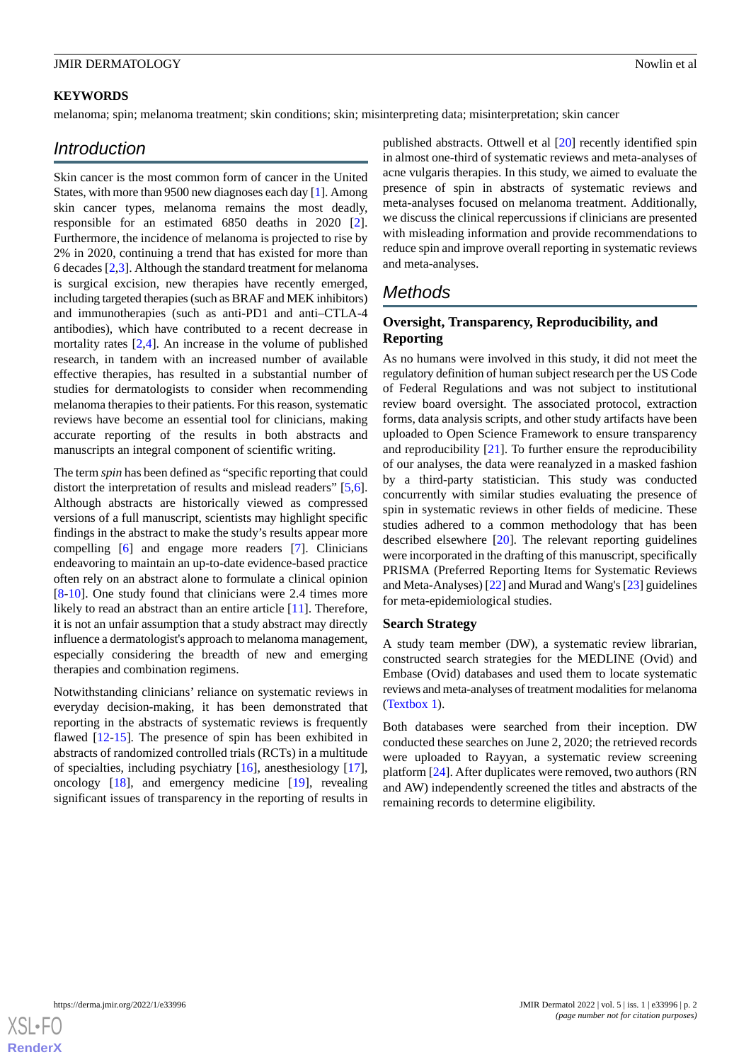## **KEYWORDS**

melanoma; spin; melanoma treatment; skin conditions; skin; misinterpreting data; misinterpretation; skin cancer

## *Introduction*

Skin cancer is the most common form of cancer in the United States, with more than 9500 new diagnoses each day [[1](#page-8-0)]. Among skin cancer types, melanoma remains the most deadly, responsible for an estimated 6850 deaths in 2020 [[2\]](#page-8-1). Furthermore, the incidence of melanoma is projected to rise by 2% in 2020, continuing a trend that has existed for more than 6 decades [\[2,](#page-8-1)[3\]](#page-9-0). Although the standard treatment for melanoma is surgical excision, new therapies have recently emerged, including targeted therapies (such as BRAF and MEK inhibitors) and immunotherapies (such as anti-PD1 and anti–CTLA-4 antibodies), which have contributed to a recent decrease in mortality rates [\[2](#page-8-1),[4](#page-9-1)]. An increase in the volume of published research, in tandem with an increased number of available effective therapies, has resulted in a substantial number of studies for dermatologists to consider when recommending melanoma therapies to their patients. For this reason, systematic reviews have become an essential tool for clinicians, making accurate reporting of the results in both abstracts and manuscripts an integral component of scientific writing.

The term *spin* has been defined as "specific reporting that could distort the interpretation of results and mislead readers" [\[5](#page-9-2),[6\]](#page-9-3). Although abstracts are historically viewed as compressed versions of a full manuscript, scientists may highlight specific findings in the abstract to make the study's results appear more compelling [\[6](#page-9-3)] and engage more readers [[7\]](#page-9-4). Clinicians endeavoring to maintain an up-to-date evidence-based practice often rely on an abstract alone to formulate a clinical opinion [[8](#page-9-5)[-10](#page-9-6)]. One study found that clinicians were 2.4 times more likely to read an abstract than an entire article [\[11](#page-9-7)]. Therefore, it is not an unfair assumption that a study abstract may directly influence a dermatologist's approach to melanoma management, especially considering the breadth of new and emerging therapies and combination regimens.

Notwithstanding clinicians' reliance on systematic reviews in everyday decision-making, it has been demonstrated that reporting in the abstracts of systematic reviews is frequently flawed [\[12](#page-9-8)[-15](#page-9-9)]. The presence of spin has been exhibited in abstracts of randomized controlled trials (RCTs) in a multitude of specialties, including psychiatry [[16\]](#page-9-10), anesthesiology [[17\]](#page-9-11), oncology [\[18](#page-9-12)], and emergency medicine [[19\]](#page-9-13), revealing significant issues of transparency in the reporting of results in

published abstracts. Ottwell et al [\[20](#page-9-14)] recently identified spin in almost one-third of systematic reviews and meta-analyses of acne vulgaris therapies. In this study, we aimed to evaluate the presence of spin in abstracts of systematic reviews and meta-analyses focused on melanoma treatment. Additionally, we discuss the clinical repercussions if clinicians are presented with misleading information and provide recommendations to reduce spin and improve overall reporting in systematic reviews and meta-analyses.

# *Methods*

## **Oversight, Transparency, Reproducibility, and Reporting**

As no humans were involved in this study, it did not meet the regulatory definition of human subject research per the US Code of Federal Regulations and was not subject to institutional review board oversight. The associated protocol, extraction forms, data analysis scripts, and other study artifacts have been uploaded to Open Science Framework to ensure transparency and reproducibility [[21\]](#page-9-15). To further ensure the reproducibility of our analyses, the data were reanalyzed in a masked fashion by a third-party statistician. This study was conducted concurrently with similar studies evaluating the presence of spin in systematic reviews in other fields of medicine. These studies adhered to a common methodology that has been described elsewhere [[20\]](#page-9-14). The relevant reporting guidelines were incorporated in the drafting of this manuscript, specifically PRISMA (Preferred Reporting Items for Systematic Reviews and Meta-Analyses) [\[22\]](#page-9-16) and Murad and Wang's [\[23](#page-9-17)] guidelines for meta-epidemiological studies.

## **Search Strategy**

A study team member (DW), a systematic review librarian, constructed search strategies for the MEDLINE (Ovid) and Embase (Ovid) databases and used them to locate systematic reviews and meta-analyses of treatment modalities for melanoma ([Textbox 1\)](#page-2-0).

Both databases were searched from their inception. DW conducted these searches on June 2, 2020; the retrieved records were uploaded to Rayyan, a systematic review screening platform [\[24](#page-9-18)]. After duplicates were removed, two authors (RN and AW) independently screened the titles and abstracts of the remaining records to determine eligibility.

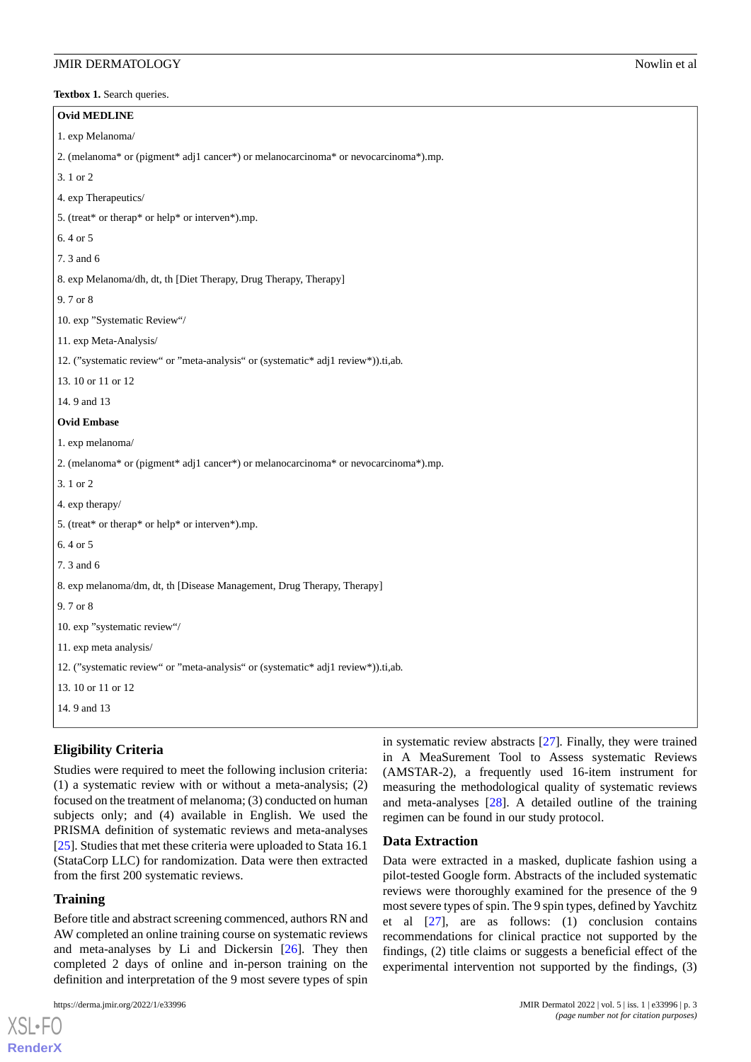<span id="page-2-0"></span>Textbox 1. Search queries.

| <b>Ovid MEDLINE</b>                                                                 |
|-------------------------------------------------------------------------------------|
| 1. exp Melanoma/                                                                    |
| 2. (melanoma* or (pigment* adj1 cancer*) or melanocarcinoma* or nevocarcinoma*).mp. |
| 3.1 or 2                                                                            |
| 4. exp Therapeutics/                                                                |
| 5. (treat* or therap* or help* or interven*).mp.                                    |
| 6.4 or 5                                                                            |
| 7.3 and 6                                                                           |
| 8. exp Melanoma/dh, dt, th [Diet Therapy, Drug Therapy, Therapy]                    |
| 9.7 or 8                                                                            |
| 10. exp "Systematic Review"/                                                        |
| 11. exp Meta-Analysis/                                                              |
| 12. ("systematic review" or "meta-analysis" or (systematic* adj1 review*)).ti,ab.   |
| 13.10 or 11 or 12                                                                   |
| 14.9 and 13                                                                         |
| <b>Ovid Embase</b>                                                                  |
| 1. exp melanoma/                                                                    |
| 2. (melanoma* or (pigment* adj1 cancer*) or melanocarcinoma* or nevocarcinoma*).mp. |
| 3.1 or 2                                                                            |
| 4. exp therapy/                                                                     |
| 5. (treat* or therap* or help* or interven*).mp.                                    |
| 6.4 or 5                                                                            |
| 7.3 and 6                                                                           |
| 8. exp melanoma/dm, dt, th [Disease Management, Drug Therapy, Therapy]              |
| 9.7 or 8                                                                            |
| 10. exp "systematic review"/                                                        |
| 11. exp meta analysis/                                                              |
| 12. ("systematic review" or "meta-analysis" or (systematic* adj1 review*)).ti,ab.   |
| 13.10 or 11 or 12                                                                   |
| 14.9 and 13                                                                         |
|                                                                                     |

## **Eligibility Criteria**

Studies were required to meet the following inclusion criteria: (1) a systematic review with or without a meta-analysis; (2) focused on the treatment of melanoma; (3) conducted on human subjects only; and (4) available in English. We used the PRISMA definition of systematic reviews and meta-analyses [[25\]](#page-9-19). Studies that met these criteria were uploaded to Stata 16.1 (StataCorp LLC) for randomization. Data were then extracted from the first 200 systematic reviews.

#### **Training**

[XSL](http://www.w3.org/Style/XSL)•FO **[RenderX](http://www.renderx.com/)**

Before title and abstract screening commenced, authors RN and AW completed an online training course on systematic reviews and meta-analyses by Li and Dickersin [[26\]](#page-9-20). They then completed 2 days of online and in-person training on the definition and interpretation of the 9 most severe types of spin

in systematic review abstracts [[27\]](#page-10-0)*.* Finally, they were trained in A MeaSurement Tool to Assess systematic Reviews (AMSTAR-2), a frequently used 16-item instrument for measuring the methodological quality of systematic reviews and meta-analyses [\[28](#page-10-1)]. A detailed outline of the training regimen can be found in our study protocol.

#### **Data Extraction**

Data were extracted in a masked, duplicate fashion using a pilot-tested Google form. Abstracts of the included systematic reviews were thoroughly examined for the presence of the 9 most severe types of spin. The 9 spin types, defined by Yavchitz et al [[27\]](#page-10-0), are as follows: (1) conclusion contains recommendations for clinical practice not supported by the findings, (2) title claims or suggests a beneficial effect of the experimental intervention not supported by the findings, (3)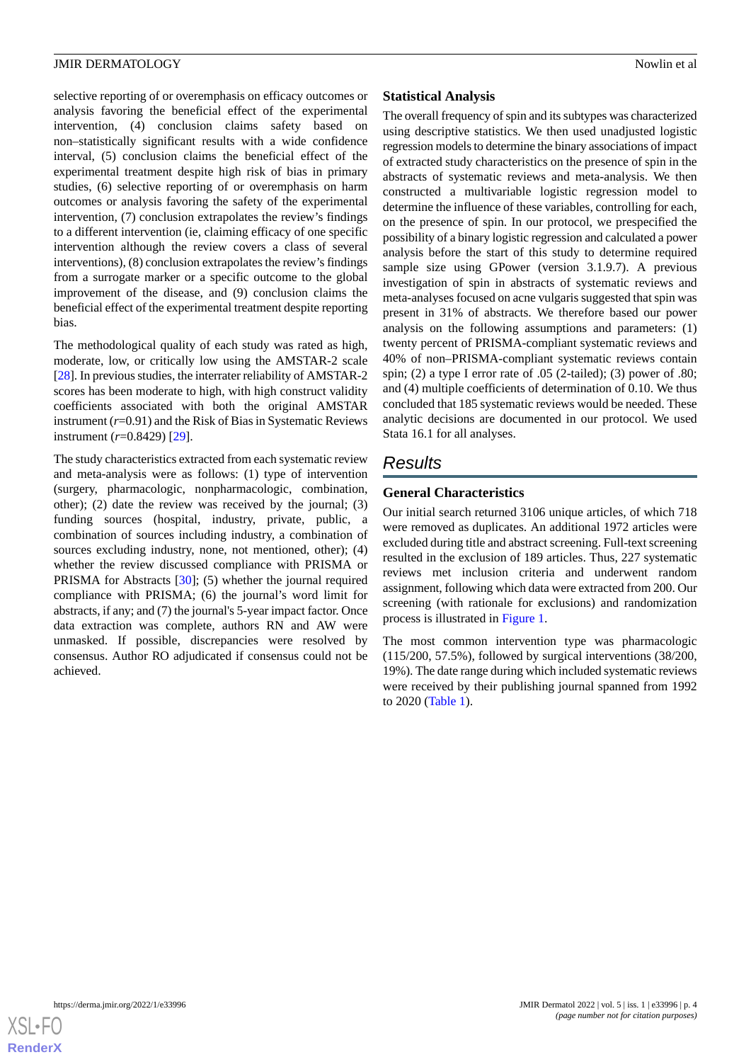selective reporting of or overemphasis on efficacy outcomes or analysis favoring the beneficial effect of the experimental intervention, (4) conclusion claims safety based on non–statistically significant results with a wide confidence interval, (5) conclusion claims the beneficial effect of the experimental treatment despite high risk of bias in primary studies, (6) selective reporting of or overemphasis on harm outcomes or analysis favoring the safety of the experimental intervention, (7) conclusion extrapolates the review's findings to a different intervention (ie, claiming efficacy of one specific intervention although the review covers a class of several interventions), (8) conclusion extrapolates the review's findings from a surrogate marker or a specific outcome to the global improvement of the disease, and (9) conclusion claims the beneficial effect of the experimental treatment despite reporting bias.

The methodological quality of each study was rated as high, moderate, low, or critically low using the AMSTAR-2 scale [[28\]](#page-10-1). In previous studies, the interrater reliability of AMSTAR-2 scores has been moderate to high, with high construct validity coefficients associated with both the original AMSTAR instrument (*r*=0.91) and the Risk of Bias in Systematic Reviews instrument (*r*=0.8429) [\[29](#page-10-2)].

The study characteristics extracted from each systematic review and meta-analysis were as follows: (1) type of intervention (surgery, pharmacologic, nonpharmacologic, combination, other); (2) date the review was received by the journal; (3) funding sources (hospital, industry, private, public, a combination of sources including industry, a combination of sources excluding industry, none, not mentioned, other); (4) whether the review discussed compliance with PRISMA or PRISMA for Abstracts [[30\]](#page-10-3); (5) whether the journal required compliance with PRISMA; (6) the journal's word limit for abstracts, if any; and (7) the journal's 5-year impact factor. Once data extraction was complete, authors RN and AW were unmasked. If possible, discrepancies were resolved by consensus. Author RO adjudicated if consensus could not be achieved.

## **Statistical Analysis**

The overall frequency of spin and its subtypes was characterized using descriptive statistics. We then used unadjusted logistic regression models to determine the binary associations of impact of extracted study characteristics on the presence of spin in the abstracts of systematic reviews and meta-analysis. We then constructed a multivariable logistic regression model to determine the influence of these variables, controlling for each, on the presence of spin. In our protocol, we prespecified the possibility of a binary logistic regression and calculated a power analysis before the start of this study to determine required sample size using GPower (version 3.1.9.7). A previous investigation of spin in abstracts of systematic reviews and meta-analyses focused on acne vulgaris suggested that spin was present in 31% of abstracts. We therefore based our power analysis on the following assumptions and parameters: (1) twenty percent of PRISMA-compliant systematic reviews and 40% of non–PRISMA-compliant systematic reviews contain spin; (2) a type I error rate of .05 (2-tailed); (3) power of .80; and (4) multiple coefficients of determination of 0.10. We thus concluded that 185 systematic reviews would be needed. These analytic decisions are documented in our protocol. We used Stata 16.1 for all analyses.

# *Results*

## **General Characteristics**

Our initial search returned 3106 unique articles, of which 718 were removed as duplicates. An additional 1972 articles were excluded during title and abstract screening. Full-text screening resulted in the exclusion of 189 articles. Thus, 227 systematic reviews met inclusion criteria and underwent random assignment, following which data were extracted from 200. Our screening (with rationale for exclusions) and randomization process is illustrated in [Figure 1.](#page-4-0)

The most common intervention type was pharmacologic (115/200, 57.5%), followed by surgical interventions (38/200, 19%). The date range during which included systematic reviews were received by their publishing journal spanned from 1992 to 2020 ([Table 1](#page-5-0)).

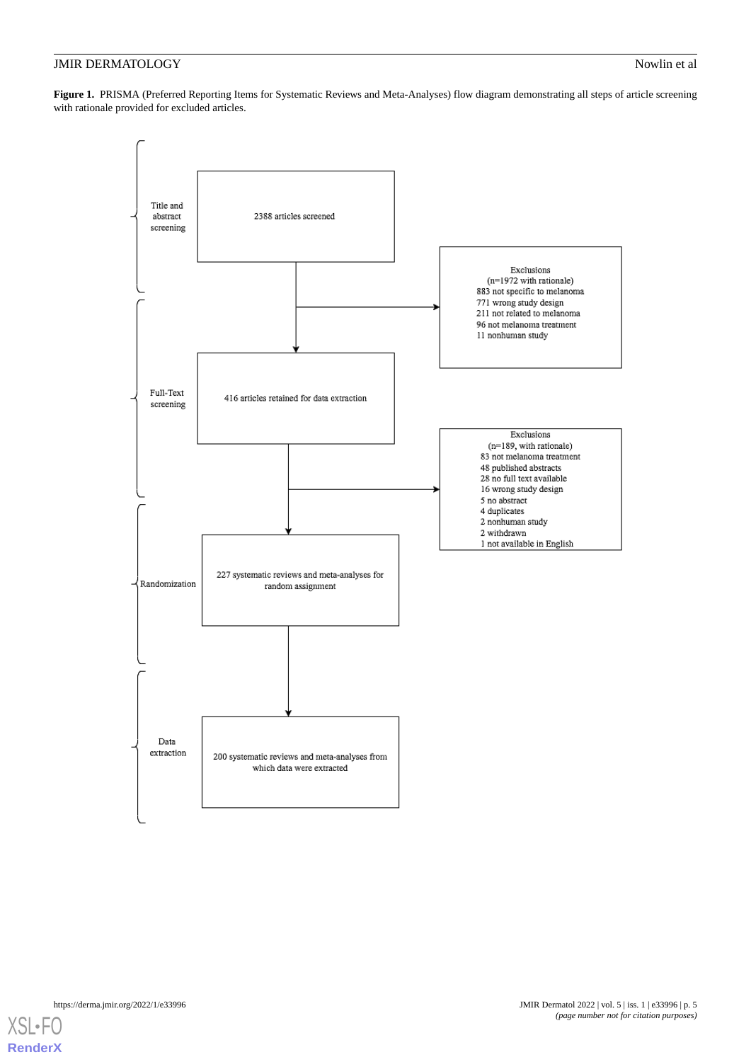<span id="page-4-0"></span>Figure 1. PRISMA (Preferred Reporting Items for Systematic Reviews and Meta-Analyses) flow diagram demonstrating all steps of article screening with rationale provided for excluded articles.



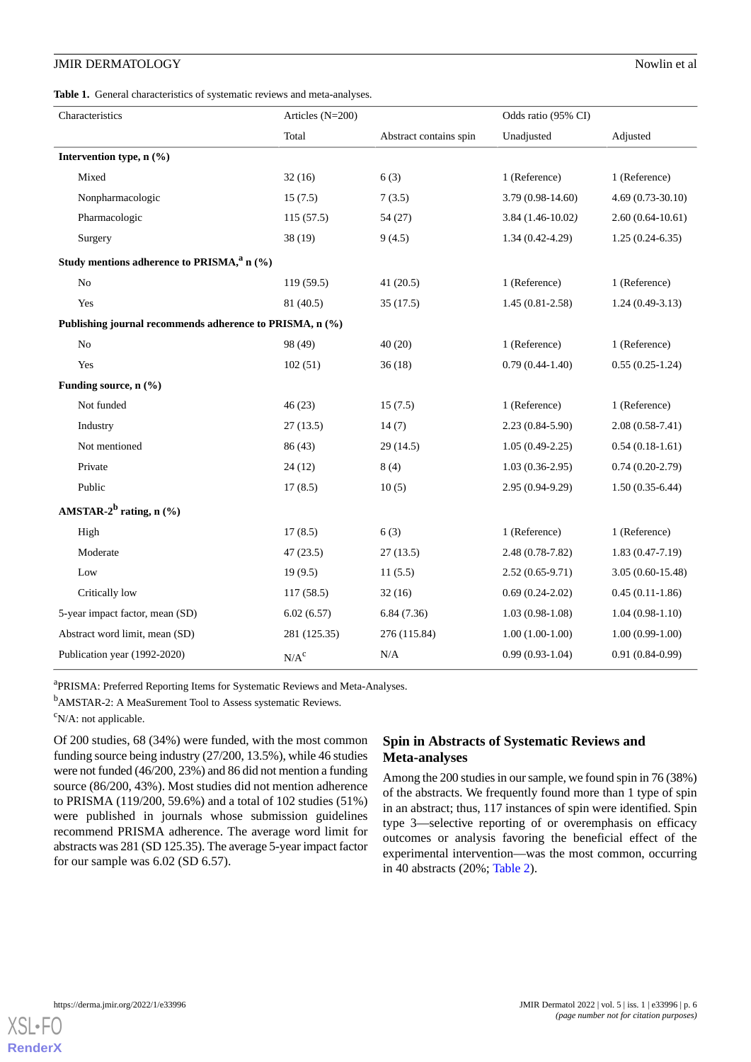<span id="page-5-0"></span>

|  |  | Table 1. General characteristics of systematic reviews and meta-analyses. |  |  |  |  |  |  |
|--|--|---------------------------------------------------------------------------|--|--|--|--|--|--|
|--|--|---------------------------------------------------------------------------|--|--|--|--|--|--|

| Characteristics                                          | Articles $(N=200)$ |                        | Odds ratio (95% CI) |                    |  |
|----------------------------------------------------------|--------------------|------------------------|---------------------|--------------------|--|
|                                                          | Total              | Abstract contains spin | Unadjusted          | Adjusted           |  |
| Intervention type, n (%)                                 |                    |                        |                     |                    |  |
| Mixed                                                    | 32(16)             | 6(3)                   | 1 (Reference)       | 1 (Reference)      |  |
| Nonpharmacologic                                         | 15(7.5)            | 7(3.5)                 | 3.79 (0.98-14.60)   | $4.69(0.73-30.10)$ |  |
| Pharmacologic                                            | 115(57.5)          | 54 (27)                | $3.84(1.46-10.02)$  | $2.60(0.64-10.61)$ |  |
| Surgery                                                  | 38 (19)            | 9(4.5)                 | $1.34(0.42 - 4.29)$ | $1.25(0.24-6.35)$  |  |
| Study mentions adherence to PRISMA, <sup>a</sup> n (%)   |                    |                        |                     |                    |  |
| $\rm No$                                                 | 119(59.5)          | 41(20.5)               | 1 (Reference)       | 1 (Reference)      |  |
| Yes                                                      | 81 (40.5)          | 35(17.5)               | $1.45(0.81 - 2.58)$ | $1.24(0.49-3.13)$  |  |
| Publishing journal recommends adherence to PRISMA, n (%) |                    |                        |                     |                    |  |
| No                                                       | 98 (49)            | 40(20)                 | 1 (Reference)       | 1 (Reference)      |  |
| Yes                                                      | 102(51)            | 36(18)                 | $0.79(0.44-1.40)$   | $0.55(0.25-1.24)$  |  |
| Funding source, n (%)                                    |                    |                        |                     |                    |  |
| Not funded                                               | 46(23)             | 15(7.5)                | 1 (Reference)       | 1 (Reference)      |  |
| Industry                                                 | 27(13.5)           | 14(7)                  | $2.23(0.84 - 5.90)$ | $2.08(0.58-7.41)$  |  |
| Not mentioned                                            | 86 (43)            | 29(14.5)               | $1.05(0.49-2.25)$   | $0.54(0.18-1.61)$  |  |
| Private                                                  | 24(12)             | 8(4)                   | $1.03(0.36-2.95)$   | $0.74(0.20-2.79)$  |  |
| Public                                                   | 17(8.5)            | 10(5)                  | 2.95 (0.94-9.29)    | $1.50(0.35-6.44)$  |  |
| AMSTAR- $2^b$ rating, n $(\% )$                          |                    |                        |                     |                    |  |
| High                                                     | 17(8.5)            | 6(3)                   | 1 (Reference)       | 1 (Reference)      |  |
| Moderate                                                 | 47(23.5)           | 27(13.5)               | $2.48(0.78-7.82)$   | $1.83(0.47-7.19)$  |  |
| Low                                                      | 19(9.5)            | 11(5.5)                | $2.52(0.65-9.71)$   | $3.05(0.60-15.48)$ |  |
| Critically low                                           | 117(58.5)          | 32(16)                 | $0.69(0.24-2.02)$   | $0.45(0.11-1.86)$  |  |
| 5-year impact factor, mean (SD)                          | 6.02(6.57)         | 6.84(7.36)             | $1.03(0.98-1.08)$   | $1.04(0.98-1.10)$  |  |
| Abstract word limit, mean (SD)                           | 281 (125.35)       | 276 (115.84)           | $1.00(1.00-1.00)$   | $1.00(0.99-1.00)$  |  |
| Publication year (1992-2020)                             | $N/A^c$            | N/A                    | $0.99(0.93-1.04)$   | $0.91(0.84-0.99)$  |  |

<sup>a</sup>PRISMA: Preferred Reporting Items for Systematic Reviews and Meta-Analyses.

<sup>b</sup>AMSTAR-2: A MeaSurement Tool to Assess systematic Reviews.

 $\rm^cN/A$ : not applicable.

Of 200 studies, 68 (34%) were funded, with the most common funding source being industry (27/200, 13.5%), while 46 studies were not funded (46/200, 23%) and 86 did not mention a funding source (86/200, 43%). Most studies did not mention adherence to PRISMA (119/200, 59.6%) and a total of 102 studies (51%) were published in journals whose submission guidelines recommend PRISMA adherence. The average word limit for abstracts was 281 (SD 125.35). The average 5-year impact factor for our sample was 6.02 (SD 6.57).

## **Spin in Abstracts of Systematic Reviews and Meta-analyses**

Among the 200 studies in our sample, we found spin in 76 (38%) of the abstracts. We frequently found more than 1 type of spin in an abstract; thus, 117 instances of spin were identified. Spin type 3—selective reporting of or overemphasis on efficacy outcomes or analysis favoring the beneficial effect of the experimental intervention—was the most common, occurring in 40 abstracts (20%; [Table 2](#page-6-0)).

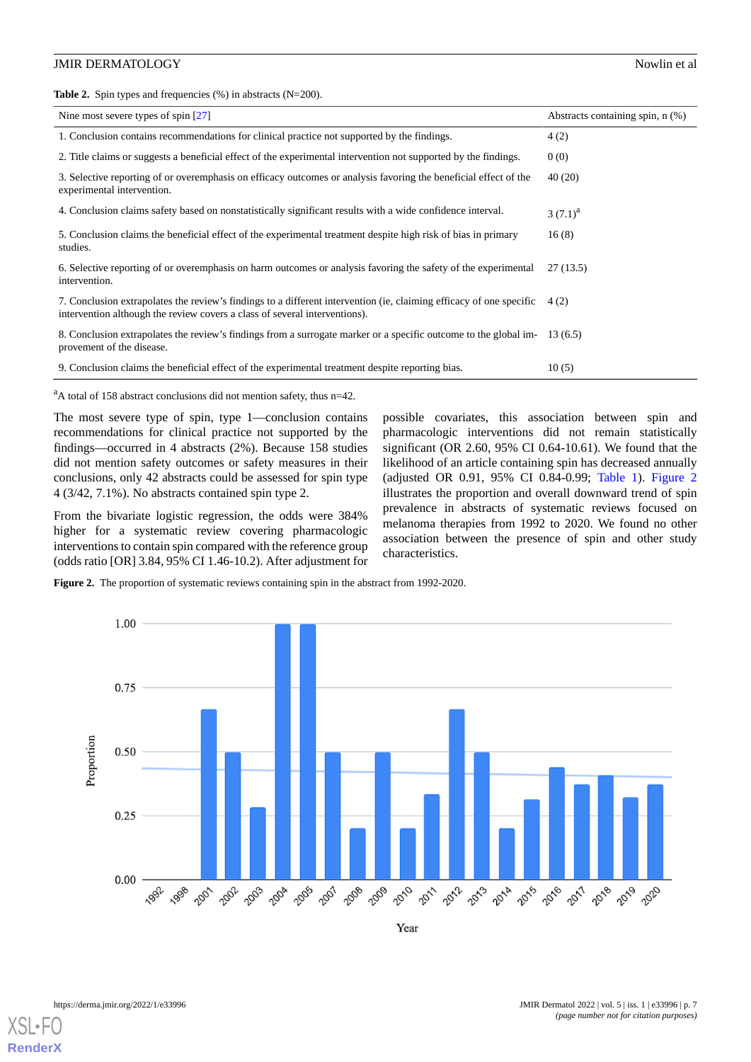<span id="page-6-0"></span>**Table 2.** Spin types and frequencies (%) in abstracts (N=200).

| Nine most severe types of spin $[27]$                                                                                                                                                             | Abstracts containing spin, n (%) |
|---------------------------------------------------------------------------------------------------------------------------------------------------------------------------------------------------|----------------------------------|
| 1. Conclusion contains recommendations for clinical practice not supported by the findings.                                                                                                       | 4(2)                             |
| 2. Title claims or suggests a beneficial effect of the experimental intervention not supported by the findings.                                                                                   | 0(0)                             |
| 3. Selective reporting of or overemphasis on efficacy outcomes or analysis favoring the beneficial effect of the<br>experimental intervention.                                                    | 40 (20)                          |
| 4. Conclusion claims safety based on nonstatistically significant results with a wide confidence interval.                                                                                        | $3(7.1)^{a}$                     |
| 5. Conclusion claims the beneficial effect of the experimental treatment despite high risk of bias in primary<br>studies.                                                                         | 16(8)                            |
| 6. Selective reporting of or overemphasis on harm outcomes or analysis favoring the safety of the experimental<br>intervention.                                                                   | 27(13.5)                         |
| 7. Conclusion extrapolates the review's findings to a different intervention (ie, claiming efficacy of one specific<br>intervention although the review covers a class of several interventions). | 4(2)                             |
| 8. Conclusion extrapolates the review's findings from a surrogate marker or a specific outcome to the global im-<br>provement of the disease.                                                     | 13(6.5)                          |
| 9. Conclusion claims the beneficial effect of the experimental treatment despite reporting bias.                                                                                                  | 10(5)                            |

 $a$ A total of 158 abstract conclusions did not mention safety, thus n=42.

The most severe type of spin, type 1—conclusion contains recommendations for clinical practice not supported by the findings—occurred in 4 abstracts (2%). Because 158 studies did not mention safety outcomes or safety measures in their conclusions, only 42 abstracts could be assessed for spin type 4 (3/42, 7.1%). No abstracts contained spin type 2.

<span id="page-6-1"></span>From the bivariate logistic regression, the odds were 384% higher for a systematic review covering pharmacologic interventions to contain spin compared with the reference group (odds ratio [OR] 3.84, 95% CI 1.46-10.2). After adjustment for possible covariates, this association between spin and pharmacologic interventions did not remain statistically significant (OR 2.60, 95% CI 0.64-10.61). We found that the likelihood of an article containing spin has decreased annually (adjusted OR 0.91, 95% CI 0.84-0.99; [Table 1\)](#page-5-0). [Figure 2](#page-6-1) illustrates the proportion and overall downward trend of spin prevalence in abstracts of systematic reviews focused on melanoma therapies from 1992 to 2020. We found no other association between the presence of spin and other study characteristics.

**Figure 2.** The proportion of systematic reviews containing spin in the abstract from 1992-2020.



Year

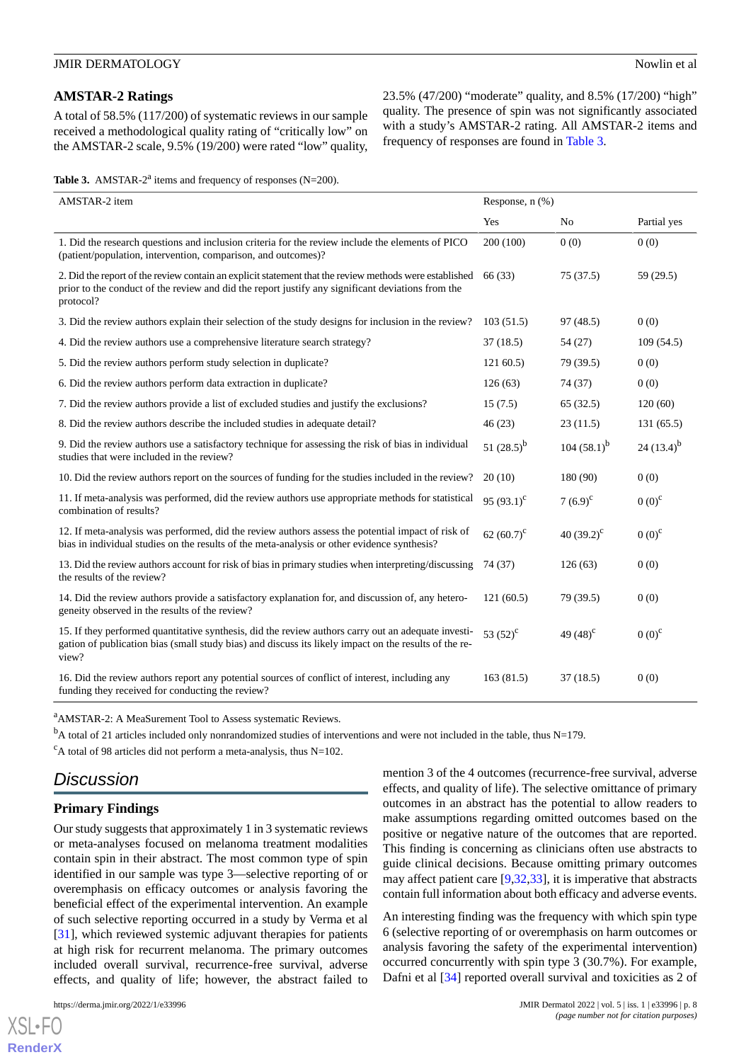## **AMSTAR-2 Ratings**

A total of 58.5% (117/200) of systematic reviews in our sample received a methodological quality rating of "critically low" on the AMSTAR-2 scale, 9.5% (19/200) were rated "low" quality, 23.5% (47/200) "moderate" quality, and 8.5% (17/200) "high" quality. The presence of spin was not significantly associated with a study's AMSTAR-2 rating. All AMSTAR-2 items and frequency of responses are found in [Table 3](#page-7-0).

<span id="page-7-0"></span>Table 3. AMSTAR-2<sup>a</sup> items and frequency of responses (N=200).

| AMSTAR-2 item                                                                                                                                                                                                            | Response, $n$ $(\%)$ |                     |                 |
|--------------------------------------------------------------------------------------------------------------------------------------------------------------------------------------------------------------------------|----------------------|---------------------|-----------------|
|                                                                                                                                                                                                                          | Yes                  | No                  | Partial yes     |
| 1. Did the research questions and inclusion criteria for the review include the elements of PICO<br>(patient/population, intervention, comparison, and outcomes)?                                                        | 200 (100)            | 0(0)                | 0(0)            |
| 2. Did the report of the review contain an explicit statement that the review methods were established<br>prior to the conduct of the review and did the report justify any significant deviations from the<br>protocol? | 66 (33)              | 75(37.5)            | 59 (29.5)       |
| 3. Did the review authors explain their selection of the study designs for inclusion in the review?                                                                                                                      | 103(51.5)            | 97(48.5)            | 0(0)            |
| 4. Did the review authors use a comprehensive literature search strategy?                                                                                                                                                | 37(18.5)             | 54 (27)             | 109(54.5)       |
| 5. Did the review authors perform study selection in duplicate?                                                                                                                                                          | 12160.5              | 79 (39.5)           | 0(0)            |
| 6. Did the review authors perform data extraction in duplicate?                                                                                                                                                          | 126(63)              | 74 (37)             | 0(0)            |
| 7. Did the review authors provide a list of excluded studies and justify the exclusions?                                                                                                                                 | 15(7.5)              | 65(32.5)            | 120(60)         |
| 8. Did the review authors describe the included studies in adequate detail?                                                                                                                                              | 46(23)               | 23(11.5)            | 131(65.5)       |
| 9. Did the review authors use a satisfactory technique for assessing the risk of bias in individual<br>studies that were included in the review?                                                                         | 51 $(28.5)^b$        | 104 $(58.1)^b$      | 24 $(13.4)^{b}$ |
| 10. Did the review authors report on the sources of funding for the studies included in the review?                                                                                                                      | 20(10)               | 180 (90)            | 0(0)            |
| 11. If meta-analysis was performed, did the review authors use appropriate methods for statistical<br>combination of results?                                                                                            | 95 $(93.1)^{c}$      | 7 $(6.9)^{c}$       | $0(0)^c$        |
| 12. If meta-analysis was performed, did the review authors assess the potential impact of risk of<br>bias in individual studies on the results of the meta-analysis or other evidence synthesis?                         | 62 $(60.7)^c$        | 40 $(39.2)^{\circ}$ | $0(0)^{c}$      |
| 13. Did the review authors account for risk of bias in primary studies when interpreting/discussing<br>the results of the review?                                                                                        | 74 (37)              | 126(63)             | 0(0)            |
| 14. Did the review authors provide a satisfactory explanation for, and discussion of, any hetero-<br>geneity observed in the results of the review?                                                                      | 121(60.5)            | 79 (39.5)           | 0(0)            |
| 15. If they performed quantitative synthesis, did the review authors carry out an adequate investi-<br>gation of publication bias (small study bias) and discuss its likely impact on the results of the re-<br>view?    | 53 $(52)^{c}$        | 49 $(48)^c$         | $0(0)^{c}$      |
| 16. Did the review authors report any potential sources of conflict of interest, including any<br>funding they received for conducting the review?                                                                       | 163(81.5)            | 37(18.5)            | 0(0)            |

<sup>a</sup>AMSTAR-2: A MeaSurement Tool to Assess systematic Reviews.

 $<sup>b</sup>A$  total of 21 articles included only nonrandomized studies of interventions and were not included in the table, thus N=179.</sup>

 $c^c$ A total of 98 articles did not perform a meta-analysis, thus N=102.

# *Discussion*

## **Primary Findings**

Our study suggests that approximately 1 in 3 systematic reviews or meta-analyses focused on melanoma treatment modalities contain spin in their abstract. The most common type of spin identified in our sample was type 3—selective reporting of or overemphasis on efficacy outcomes or analysis favoring the beneficial effect of the experimental intervention. An example of such selective reporting occurred in a study by Verma et al [[31\]](#page-10-4), which reviewed systemic adjuvant therapies for patients at high risk for recurrent melanoma. The primary outcomes included overall survival, recurrence-free survival, adverse effects, and quality of life; however, the abstract failed to

[XSL](http://www.w3.org/Style/XSL)•FO **[RenderX](http://www.renderx.com/)**

mention 3 of the 4 outcomes (recurrence-free survival, adverse effects, and quality of life). The selective omittance of primary outcomes in an abstract has the potential to allow readers to make assumptions regarding omitted outcomes based on the positive or negative nature of the outcomes that are reported. This finding is concerning as clinicians often use abstracts to guide clinical decisions. Because omitting primary outcomes may affect patient care [\[9](#page-9-21),[32,](#page-10-5)[33](#page-10-6)], it is imperative that abstracts contain full information about both efficacy and adverse events.

An interesting finding was the frequency with which spin type 6 (selective reporting of or overemphasis on harm outcomes or analysis favoring the safety of the experimental intervention) occurred concurrently with spin type 3 (30.7%). For example, Dafni et al [\[34](#page-10-7)] reported overall survival and toxicities as 2 of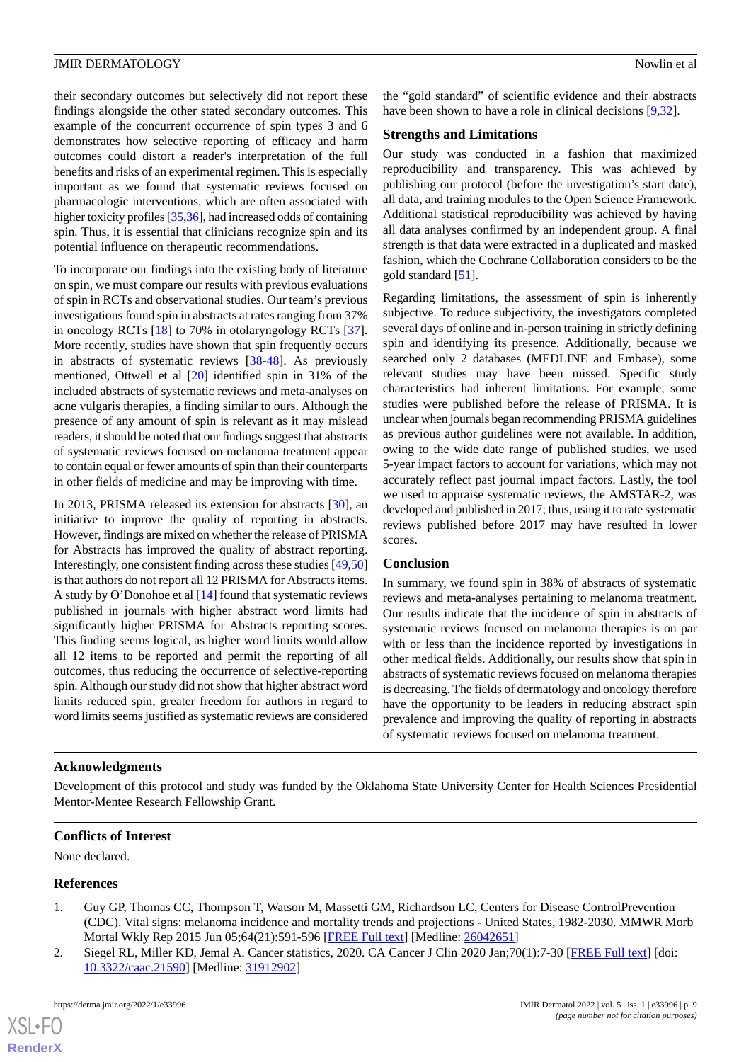their secondary outcomes but selectively did not report these findings alongside the other stated secondary outcomes. This example of the concurrent occurrence of spin types 3 and 6 demonstrates how selective reporting of efficacy and harm outcomes could distort a reader's interpretation of the full benefits and risks of an experimental regimen. This is especially important as we found that systematic reviews focused on pharmacologic interventions, which are often associated with higher toxicity profiles [[35,](#page-10-8)[36\]](#page-10-9), had increased odds of containing spin. Thus, it is essential that clinicians recognize spin and its potential influence on therapeutic recommendations.

To incorporate our findings into the existing body of literature on spin, we must compare our results with previous evaluations of spin in RCTs and observational studies. Our team's previous investigations found spin in abstracts at rates ranging from 37% in oncology RCTs [\[18](#page-9-12)] to 70% in otolaryngology RCTs [[37\]](#page-10-10). More recently, studies have shown that spin frequently occurs in abstracts of systematic reviews [\[38](#page-10-11)[-48](#page-11-0)]. As previously mentioned, Ottwell et al [[20\]](#page-9-14) identified spin in 31% of the included abstracts of systematic reviews and meta-analyses on acne vulgaris therapies, a finding similar to ours. Although the presence of any amount of spin is relevant as it may mislead readers, it should be noted that our findings suggest that abstracts of systematic reviews focused on melanoma treatment appear to contain equal or fewer amounts of spin than their counterparts in other fields of medicine and may be improving with time.

In 2013, PRISMA released its extension for abstracts [[30\]](#page-10-3), an initiative to improve the quality of reporting in abstracts. However, findings are mixed on whether the release of PRISMA for Abstracts has improved the quality of abstract reporting. Interestingly, one consistent finding across these studies [\[49](#page-11-1)[,50](#page-11-2)] is that authors do not report all 12 PRISMA for Abstracts items. A study by O'Donohoe et al [[14\]](#page-9-22) found that systematic reviews published in journals with higher abstract word limits had significantly higher PRISMA for Abstracts reporting scores. This finding seems logical, as higher word limits would allow all 12 items to be reported and permit the reporting of all outcomes, thus reducing the occurrence of selective-reporting spin. Although our study did not show that higher abstract word limits reduced spin, greater freedom for authors in regard to word limits seems justified as systematic reviews are considered

the "gold standard" of scientific evidence and their abstracts have been shown to have a role in clinical decisions [[9,](#page-9-21)[32\]](#page-10-5).

#### **Strengths and Limitations**

Our study was conducted in a fashion that maximized reproducibility and transparency. This was achieved by publishing our protocol (before the investigation's start date), all data, and training modules to the Open Science Framework. Additional statistical reproducibility was achieved by having all data analyses confirmed by an independent group. A final strength is that data were extracted in a duplicated and masked fashion, which the Cochrane Collaboration considers to be the gold standard [[51\]](#page-11-3).

Regarding limitations, the assessment of spin is inherently subjective. To reduce subjectivity, the investigators completed several days of online and in-person training in strictly defining spin and identifying its presence. Additionally, because we searched only 2 databases (MEDLINE and Embase), some relevant studies may have been missed. Specific study characteristics had inherent limitations. For example, some studies were published before the release of PRISMA. It is unclear when journals began recommending PRISMA guidelines as previous author guidelines were not available. In addition, owing to the wide date range of published studies, we used 5-year impact factors to account for variations, which may not accurately reflect past journal impact factors. Lastly, the tool we used to appraise systematic reviews, the AMSTAR-2, was developed and published in 2017; thus, using it to rate systematic reviews published before 2017 may have resulted in lower scores.

#### **Conclusion**

In summary, we found spin in 38% of abstracts of systematic reviews and meta-analyses pertaining to melanoma treatment. Our results indicate that the incidence of spin in abstracts of systematic reviews focused on melanoma therapies is on par with or less than the incidence reported by investigations in other medical fields. Additionally, our results show that spin in abstracts of systematic reviews focused on melanoma therapies is decreasing. The fields of dermatology and oncology therefore have the opportunity to be leaders in reducing abstract spin prevalence and improving the quality of reporting in abstracts of systematic reviews focused on melanoma treatment.

#### **Acknowledgments**

Development of this protocol and study was funded by the Oklahoma State University Center for Health Sciences Presidential Mentor-Mentee Research Fellowship Grant.

## <span id="page-8-0"></span>**Conflicts of Interest**

<span id="page-8-1"></span>None declared.

#### **References**

- 1. Guy GP, Thomas CC, Thompson T, Watson M, Massetti GM, Richardson LC, Centers for Disease ControlPrevention (CDC). Vital signs: melanoma incidence and mortality trends and projections - United States, 1982-2030. MMWR Morb Mortal Wkly Rep 2015 Jun 05;64(21):591-596 [[FREE Full text](https://www.cdc.gov/mmwr/preview/mmwrhtml/mm6421a6.htm)] [Medline: [26042651](http://www.ncbi.nlm.nih.gov/entrez/query.fcgi?cmd=Retrieve&db=PubMed&list_uids=26042651&dopt=Abstract)]
- 2. Siegel RL, Miller KD, Jemal A. Cancer statistics, 2020. CA Cancer J Clin 2020 Jan;70(1):7-30 [\[FREE Full text\]](https://doi.org/10.3322/caac.21590) [doi: [10.3322/caac.21590](http://dx.doi.org/10.3322/caac.21590)] [Medline: [31912902\]](http://www.ncbi.nlm.nih.gov/entrez/query.fcgi?cmd=Retrieve&db=PubMed&list_uids=31912902&dopt=Abstract)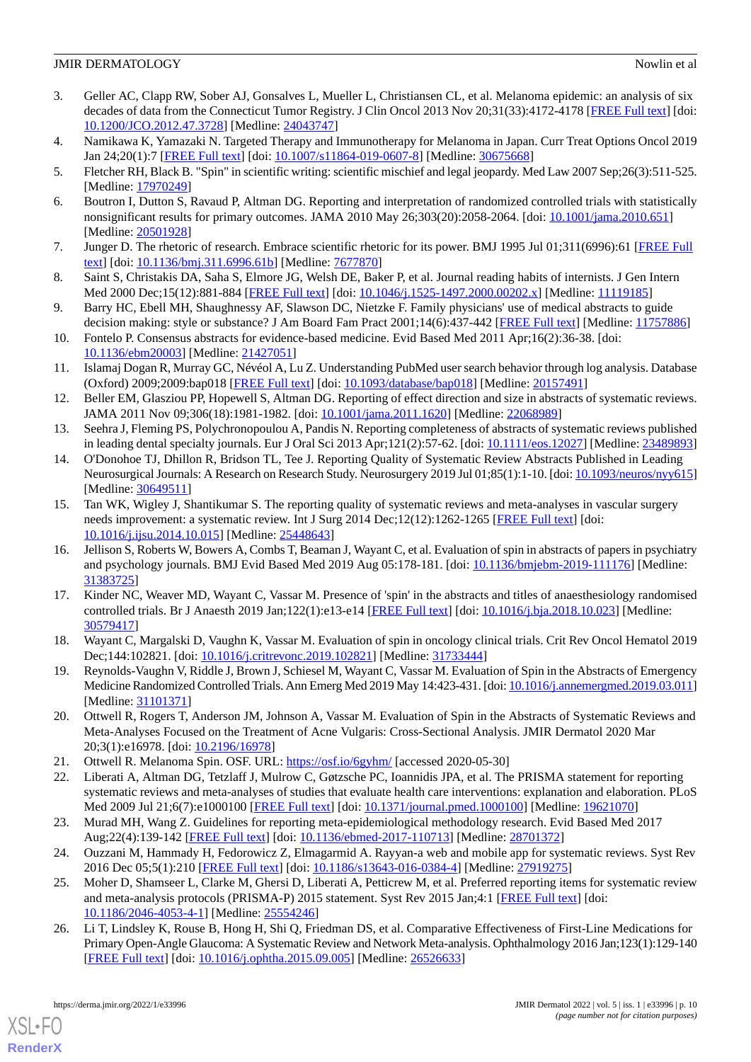- <span id="page-9-0"></span>3. Geller AC, Clapp RW, Sober AJ, Gonsalves L, Mueller L, Christiansen CL, et al. Melanoma epidemic: an analysis of six decades of data from the Connecticut Tumor Registry. J Clin Oncol 2013 Nov 20;31(33):4172-4178 [\[FREE Full text](http://europepmc.org/abstract/MED/24043747)] [doi: [10.1200/JCO.2012.47.3728](http://dx.doi.org/10.1200/JCO.2012.47.3728)] [Medline: [24043747\]](http://www.ncbi.nlm.nih.gov/entrez/query.fcgi?cmd=Retrieve&db=PubMed&list_uids=24043747&dopt=Abstract)
- <span id="page-9-2"></span><span id="page-9-1"></span>4. Namikawa K, Yamazaki N. Targeted Therapy and Immunotherapy for Melanoma in Japan. Curr Treat Options Oncol 2019 Jan 24;20(1):7 [\[FREE Full text\]](http://europepmc.org/abstract/MED/30675668) [doi: [10.1007/s11864-019-0607-8](http://dx.doi.org/10.1007/s11864-019-0607-8)] [Medline: [30675668\]](http://www.ncbi.nlm.nih.gov/entrez/query.fcgi?cmd=Retrieve&db=PubMed&list_uids=30675668&dopt=Abstract)
- <span id="page-9-3"></span>5. Fletcher RH, Black B. "Spin" in scientific writing: scientific mischief and legal jeopardy. Med Law 2007 Sep;26(3):511-525. [Medline: [17970249](http://www.ncbi.nlm.nih.gov/entrez/query.fcgi?cmd=Retrieve&db=PubMed&list_uids=17970249&dopt=Abstract)]
- <span id="page-9-4"></span>6. Boutron I, Dutton S, Ravaud P, Altman DG. Reporting and interpretation of randomized controlled trials with statistically nonsignificant results for primary outcomes. JAMA 2010 May 26;303(20):2058-2064. [doi: [10.1001/jama.2010.651](http://dx.doi.org/10.1001/jama.2010.651)] [Medline: [20501928](http://www.ncbi.nlm.nih.gov/entrez/query.fcgi?cmd=Retrieve&db=PubMed&list_uids=20501928&dopt=Abstract)]
- <span id="page-9-5"></span>7. Junger D. The rhetoric of research. Embrace scientific rhetoric for its power. BMJ 1995 Jul 01;311(6996):61 [\[FREE Full](http://europepmc.org/abstract/MED/7677870) [text](http://europepmc.org/abstract/MED/7677870)] [doi: [10.1136/bmj.311.6996.61b\]](http://dx.doi.org/10.1136/bmj.311.6996.61b) [Medline: [7677870\]](http://www.ncbi.nlm.nih.gov/entrez/query.fcgi?cmd=Retrieve&db=PubMed&list_uids=7677870&dopt=Abstract)
- <span id="page-9-21"></span>8. Saint S, Christakis DA, Saha S, Elmore JG, Welsh DE, Baker P, et al. Journal reading habits of internists. J Gen Intern Med 2000 Dec;15(12):881-884 [\[FREE Full text\]](https://onlinelibrary.wiley.com/resolve/openurl?genre=article&sid=nlm:pubmed&issn=0884-8734&date=2000&volume=15&issue=12&spage=881) [doi: [10.1046/j.1525-1497.2000.00202.x](http://dx.doi.org/10.1046/j.1525-1497.2000.00202.x)] [Medline: [11119185](http://www.ncbi.nlm.nih.gov/entrez/query.fcgi?cmd=Retrieve&db=PubMed&list_uids=11119185&dopt=Abstract)]
- <span id="page-9-6"></span>9. Barry HC, Ebell MH, Shaughnessy AF, Slawson DC, Nietzke F. Family physicians' use of medical abstracts to guide decision making: style or substance? J Am Board Fam Pract 2001;14(6):437-442 [\[FREE Full text](http://www.jabfm.org/cgi/pmidlookup?view=long&pmid=11757886)] [Medline: [11757886](http://www.ncbi.nlm.nih.gov/entrez/query.fcgi?cmd=Retrieve&db=PubMed&list_uids=11757886&dopt=Abstract)]
- <span id="page-9-7"></span>10. Fontelo P. Consensus abstracts for evidence-based medicine. Evid Based Med 2011 Apr;16(2):36-38. [doi: [10.1136/ebm20003](http://dx.doi.org/10.1136/ebm20003)] [Medline: [21427051\]](http://www.ncbi.nlm.nih.gov/entrez/query.fcgi?cmd=Retrieve&db=PubMed&list_uids=21427051&dopt=Abstract)
- <span id="page-9-8"></span>11. Islamaj Dogan R, Murray GC, Névéol A, Lu Z. Understanding PubMed user search behavior through log analysis. Database (Oxford) 2009;2009:bap018 [\[FREE Full text\]](https://academic.oup.com/database/article-lookup/doi/10.1093/database/bap018) [doi: [10.1093/database/bap018\]](http://dx.doi.org/10.1093/database/bap018) [Medline: [20157491\]](http://www.ncbi.nlm.nih.gov/entrez/query.fcgi?cmd=Retrieve&db=PubMed&list_uids=20157491&dopt=Abstract)
- <span id="page-9-22"></span>12. Beller EM, Glasziou PP, Hopewell S, Altman DG. Reporting of effect direction and size in abstracts of systematic reviews. JAMA 2011 Nov 09;306(18):1981-1982. [doi: [10.1001/jama.2011.1620](http://dx.doi.org/10.1001/jama.2011.1620)] [Medline: [22068989](http://www.ncbi.nlm.nih.gov/entrez/query.fcgi?cmd=Retrieve&db=PubMed&list_uids=22068989&dopt=Abstract)]
- 13. Seehra J, Fleming PS, Polychronopoulou A, Pandis N. Reporting completeness of abstracts of systematic reviews published in leading dental specialty journals. Eur J Oral Sci 2013 Apr;121(2):57-62. [doi: [10.1111/eos.12027](http://dx.doi.org/10.1111/eos.12027)] [Medline: [23489893](http://www.ncbi.nlm.nih.gov/entrez/query.fcgi?cmd=Retrieve&db=PubMed&list_uids=23489893&dopt=Abstract)]
- <span id="page-9-9"></span>14. O'Donohoe TJ, Dhillon R, Bridson TL, Tee J. Reporting Quality of Systematic Review Abstracts Published in Leading Neurosurgical Journals: A Research on Research Study. Neurosurgery 2019 Jul 01;85(1):1-10. [doi: [10.1093/neuros/nyy615\]](http://dx.doi.org/10.1093/neuros/nyy615) [Medline: [30649511](http://www.ncbi.nlm.nih.gov/entrez/query.fcgi?cmd=Retrieve&db=PubMed&list_uids=30649511&dopt=Abstract)]
- <span id="page-9-10"></span>15. Tan WK, Wigley J, Shantikumar S. The reporting quality of systematic reviews and meta-analyses in vascular surgery needs improvement: a systematic review. Int J Surg 2014 Dec;12(12):1262-1265 [\[FREE Full text](https://linkinghub.elsevier.com/retrieve/pii/S1743-9191(14)00929-7)] [doi: [10.1016/j.ijsu.2014.10.015](http://dx.doi.org/10.1016/j.ijsu.2014.10.015)] [Medline: [25448643\]](http://www.ncbi.nlm.nih.gov/entrez/query.fcgi?cmd=Retrieve&db=PubMed&list_uids=25448643&dopt=Abstract)
- <span id="page-9-11"></span>16. Jellison S, Roberts W, Bowers A, Combs T, Beaman J, Wayant C, et al. Evaluation of spin in abstracts of papers in psychiatry and psychology journals. BMJ Evid Based Med 2019 Aug 05:178-181. [doi: [10.1136/bmjebm-2019-111176\]](http://dx.doi.org/10.1136/bmjebm-2019-111176) [Medline: [31383725](http://www.ncbi.nlm.nih.gov/entrez/query.fcgi?cmd=Retrieve&db=PubMed&list_uids=31383725&dopt=Abstract)]
- <span id="page-9-13"></span><span id="page-9-12"></span>17. Kinder NC, Weaver MD, Wayant C, Vassar M. Presence of 'spin' in the abstracts and titles of anaesthesiology randomised controlled trials. Br J Anaesth 2019 Jan;122(1):e13-e14 [[FREE Full text](https://linkinghub.elsevier.com/retrieve/pii/S0007-0912(18)30804-3)] [doi: [10.1016/j.bja.2018.10.023\]](http://dx.doi.org/10.1016/j.bja.2018.10.023) [Medline: [30579417](http://www.ncbi.nlm.nih.gov/entrez/query.fcgi?cmd=Retrieve&db=PubMed&list_uids=30579417&dopt=Abstract)]
- <span id="page-9-14"></span>18. Wayant C, Margalski D, Vaughn K, Vassar M. Evaluation of spin in oncology clinical trials. Crit Rev Oncol Hematol 2019 Dec;144:102821. [doi: [10.1016/j.critrevonc.2019.102821](http://dx.doi.org/10.1016/j.critrevonc.2019.102821)] [Medline: [31733444\]](http://www.ncbi.nlm.nih.gov/entrez/query.fcgi?cmd=Retrieve&db=PubMed&list_uids=31733444&dopt=Abstract)
- <span id="page-9-15"></span>19. Reynolds-Vaughn V, Riddle J, Brown J, Schiesel M, Wayant C, Vassar M. Evaluation of Spin in the Abstracts of Emergency Medicine Randomized Controlled Trials. Ann Emerg Med 2019 May 14:423-431. [doi: [10.1016/j.annemergmed.2019.03.011](http://dx.doi.org/10.1016/j.annemergmed.2019.03.011)] [Medline: [31101371](http://www.ncbi.nlm.nih.gov/entrez/query.fcgi?cmd=Retrieve&db=PubMed&list_uids=31101371&dopt=Abstract)]
- <span id="page-9-16"></span>20. Ottwell R, Rogers T, Anderson JM, Johnson A, Vassar M. Evaluation of Spin in the Abstracts of Systematic Reviews and Meta-Analyses Focused on the Treatment of Acne Vulgaris: Cross-Sectional Analysis. JMIR Dermatol 2020 Mar 20;3(1):e16978. [doi: [10.2196/16978\]](http://dx.doi.org/10.2196/16978)
- <span id="page-9-18"></span><span id="page-9-17"></span>21. Ottwell R. Melanoma Spin. OSF. URL:<https://osf.io/6gyhm/> [accessed 2020-05-30]
- <span id="page-9-19"></span>22. Liberati A, Altman DG, Tetzlaff J, Mulrow C, Gøtzsche PC, Ioannidis JPA, et al. The PRISMA statement for reporting systematic reviews and meta-analyses of studies that evaluate health care interventions: explanation and elaboration. PLoS Med 2009 Jul 21;6(7):e1000100 [[FREE Full text\]](http://dx.plos.org/10.1371/journal.pmed.1000100) [doi: [10.1371/journal.pmed.1000100\]](http://dx.doi.org/10.1371/journal.pmed.1000100) [Medline: [19621070\]](http://www.ncbi.nlm.nih.gov/entrez/query.fcgi?cmd=Retrieve&db=PubMed&list_uids=19621070&dopt=Abstract)
- <span id="page-9-20"></span>23. Murad MH, Wang Z. Guidelines for reporting meta-epidemiological methodology research. Evid Based Med 2017 Aug;22(4):139-142 [\[FREE Full text](http://ebm.bmj.com/lookup/pmidlookup?view=long&pmid=28701372)] [doi: [10.1136/ebmed-2017-110713](http://dx.doi.org/10.1136/ebmed-2017-110713)] [Medline: [28701372](http://www.ncbi.nlm.nih.gov/entrez/query.fcgi?cmd=Retrieve&db=PubMed&list_uids=28701372&dopt=Abstract)]
- 24. Ouzzani M, Hammady H, Fedorowicz Z, Elmagarmid A. Rayyan-a web and mobile app for systematic reviews. Syst Rev 2016 Dec 05;5(1):210 [[FREE Full text](https://doi.org/10.1186/s13643-016-0384-4)] [doi: [10.1186/s13643-016-0384-4](http://dx.doi.org/10.1186/s13643-016-0384-4)] [Medline: [27919275](http://www.ncbi.nlm.nih.gov/entrez/query.fcgi?cmd=Retrieve&db=PubMed&list_uids=27919275&dopt=Abstract)]
- 25. Moher D, Shamseer L, Clarke M, Ghersi D, Liberati A, Petticrew M, et al. Preferred reporting items for systematic review and meta-analysis protocols (PRISMA-P) 2015 statement. Syst Rev 2015 Jan;4:1 [\[FREE Full text\]](http://www.systematicreviewsjournal.com/content/4//1) [doi: [10.1186/2046-4053-4-1\]](http://dx.doi.org/10.1186/2046-4053-4-1) [Medline: [25554246\]](http://www.ncbi.nlm.nih.gov/entrez/query.fcgi?cmd=Retrieve&db=PubMed&list_uids=25554246&dopt=Abstract)
- 26. Li T, Lindsley K, Rouse B, Hong H, Shi Q, Friedman DS, et al. Comparative Effectiveness of First-Line Medications for Primary Open-Angle Glaucoma: A Systematic Review and Network Meta-analysis. Ophthalmology 2016 Jan;123(1):129-140 [[FREE Full text](http://europepmc.org/abstract/MED/26526633)] [doi: [10.1016/j.ophtha.2015.09.005\]](http://dx.doi.org/10.1016/j.ophtha.2015.09.005) [Medline: [26526633\]](http://www.ncbi.nlm.nih.gov/entrez/query.fcgi?cmd=Retrieve&db=PubMed&list_uids=26526633&dopt=Abstract)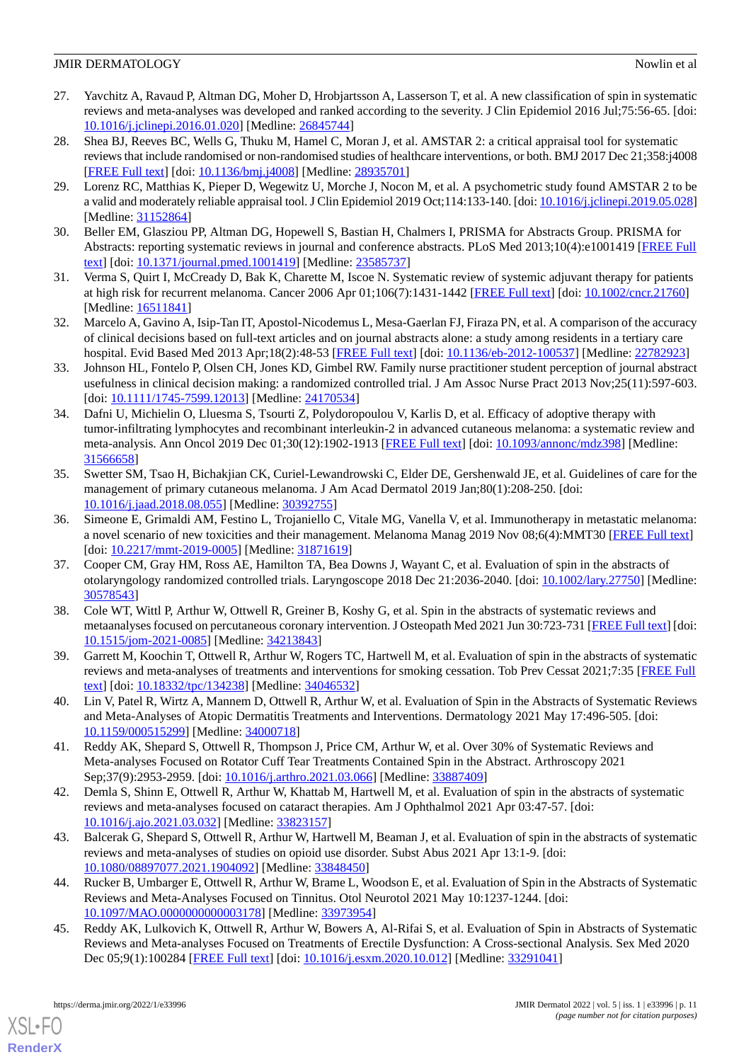- <span id="page-10-0"></span>27. Yavchitz A, Ravaud P, Altman DG, Moher D, Hrobjartsson A, Lasserson T, et al. A new classification of spin in systematic reviews and meta-analyses was developed and ranked according to the severity. J Clin Epidemiol 2016 Jul;75:56-65. [doi: [10.1016/j.jclinepi.2016.01.020\]](http://dx.doi.org/10.1016/j.jclinepi.2016.01.020) [Medline: [26845744](http://www.ncbi.nlm.nih.gov/entrez/query.fcgi?cmd=Retrieve&db=PubMed&list_uids=26845744&dopt=Abstract)]
- <span id="page-10-1"></span>28. Shea BJ, Reeves BC, Wells G, Thuku M, Hamel C, Moran J, et al. AMSTAR 2: a critical appraisal tool for systematic reviews that include randomised or non-randomised studies of healthcare interventions, or both. BMJ 2017 Dec 21;358:j4008 [[FREE Full text](http://www.bmj.com/cgi/pmidlookup?view=long&pmid=28935701)] [doi: [10.1136/bmj.j4008\]](http://dx.doi.org/10.1136/bmj.j4008) [Medline: [28935701](http://www.ncbi.nlm.nih.gov/entrez/query.fcgi?cmd=Retrieve&db=PubMed&list_uids=28935701&dopt=Abstract)]
- <span id="page-10-3"></span><span id="page-10-2"></span>29. Lorenz RC, Matthias K, Pieper D, Wegewitz U, Morche J, Nocon M, et al. A psychometric study found AMSTAR 2 to be a valid and moderately reliable appraisal tool. J Clin Epidemiol 2019 Oct;114:133-140. [doi: [10.1016/j.jclinepi.2019.05.028\]](http://dx.doi.org/10.1016/j.jclinepi.2019.05.028) [Medline: [31152864](http://www.ncbi.nlm.nih.gov/entrez/query.fcgi?cmd=Retrieve&db=PubMed&list_uids=31152864&dopt=Abstract)]
- <span id="page-10-4"></span>30. Beller EM, Glasziou PP, Altman DG, Hopewell S, Bastian H, Chalmers I, PRISMA for Abstracts Group. PRISMA for Abstracts: reporting systematic reviews in journal and conference abstracts. PLoS Med 2013;10(4):e1001419 [[FREE Full](https://dx.plos.org/10.1371/journal.pmed.1001419) [text](https://dx.plos.org/10.1371/journal.pmed.1001419)] [doi: [10.1371/journal.pmed.1001419](http://dx.doi.org/10.1371/journal.pmed.1001419)] [Medline: [23585737](http://www.ncbi.nlm.nih.gov/entrez/query.fcgi?cmd=Retrieve&db=PubMed&list_uids=23585737&dopt=Abstract)]
- <span id="page-10-5"></span>31. Verma S, Quirt I, McCready D, Bak K, Charette M, Iscoe N. Systematic review of systemic adjuvant therapy for patients at high risk for recurrent melanoma. Cancer 2006 Apr 01;106(7):1431-1442 [\[FREE Full text\]](https://doi.org/10.1002/cncr.21760) [doi: [10.1002/cncr.21760](http://dx.doi.org/10.1002/cncr.21760)] [Medline: [16511841](http://www.ncbi.nlm.nih.gov/entrez/query.fcgi?cmd=Retrieve&db=PubMed&list_uids=16511841&dopt=Abstract)]
- <span id="page-10-6"></span>32. Marcelo A, Gavino A, Isip-Tan IT, Apostol-Nicodemus L, Mesa-Gaerlan FJ, Firaza PN, et al. A comparison of the accuracy of clinical decisions based on full-text articles and on journal abstracts alone: a study among residents in a tertiary care hospital. Evid Based Med 2013 Apr;18(2):48-53 [[FREE Full text](http://ebm.bmj.com/lookup/pmidlookup?view=long&pmid=22782923)] [doi: [10.1136/eb-2012-100537\]](http://dx.doi.org/10.1136/eb-2012-100537) [Medline: [22782923\]](http://www.ncbi.nlm.nih.gov/entrez/query.fcgi?cmd=Retrieve&db=PubMed&list_uids=22782923&dopt=Abstract)
- <span id="page-10-7"></span>33. Johnson HL, Fontelo P, Olsen CH, Jones KD, Gimbel RW. Family nurse practitioner student perception of journal abstract usefulness in clinical decision making: a randomized controlled trial. J Am Assoc Nurse Pract 2013 Nov;25(11):597-603. [doi: [10.1111/1745-7599.12013](http://dx.doi.org/10.1111/1745-7599.12013)] [Medline: [24170534\]](http://www.ncbi.nlm.nih.gov/entrez/query.fcgi?cmd=Retrieve&db=PubMed&list_uids=24170534&dopt=Abstract)
- <span id="page-10-8"></span>34. Dafni U, Michielin O, Lluesma S, Tsourti Z, Polydoropoulou V, Karlis D, et al. Efficacy of adoptive therapy with tumor-infiltrating lymphocytes and recombinant interleukin-2 in advanced cutaneous melanoma: a systematic review and meta-analysis. Ann Oncol 2019 Dec 01;30(12):1902-1913 [[FREE Full text](https://linkinghub.elsevier.com/retrieve/pii/S0923-7534(20)32553-9)] [doi: [10.1093/annonc/mdz398](http://dx.doi.org/10.1093/annonc/mdz398)] [Medline: [31566658](http://www.ncbi.nlm.nih.gov/entrez/query.fcgi?cmd=Retrieve&db=PubMed&list_uids=31566658&dopt=Abstract)]
- <span id="page-10-9"></span>35. Swetter SM, Tsao H, Bichakjian CK, Curiel-Lewandrowski C, Elder DE, Gershenwald JE, et al. Guidelines of care for the management of primary cutaneous melanoma. J Am Acad Dermatol 2019 Jan;80(1):208-250. [doi: [10.1016/j.jaad.2018.08.055](http://dx.doi.org/10.1016/j.jaad.2018.08.055)] [Medline: [30392755](http://www.ncbi.nlm.nih.gov/entrez/query.fcgi?cmd=Retrieve&db=PubMed&list_uids=30392755&dopt=Abstract)]
- <span id="page-10-10"></span>36. Simeone E, Grimaldi AM, Festino L, Trojaniello C, Vitale MG, Vanella V, et al. Immunotherapy in metastatic melanoma: a novel scenario of new toxicities and their management. Melanoma Manag 2019 Nov 08;6(4):MMT30 [\[FREE Full text](https://www.futuremedicine.com/doi/abs/10.2217/mmt-2019-0005?url_ver=Z39.88-2003&rfr_id=ori:rid:crossref.org&rfr_dat=cr_pub%3dpubmed)] [doi: [10.2217/mmt-2019-0005](http://dx.doi.org/10.2217/mmt-2019-0005)] [Medline: [31871619\]](http://www.ncbi.nlm.nih.gov/entrez/query.fcgi?cmd=Retrieve&db=PubMed&list_uids=31871619&dopt=Abstract)
- <span id="page-10-11"></span>37. Cooper CM, Gray HM, Ross AE, Hamilton TA, Bea Downs J, Wayant C, et al. Evaluation of spin in the abstracts of otolaryngology randomized controlled trials. Laryngoscope 2018 Dec 21:2036-2040. [doi: [10.1002/lary.27750\]](http://dx.doi.org/10.1002/lary.27750) [Medline: [30578543](http://www.ncbi.nlm.nih.gov/entrez/query.fcgi?cmd=Retrieve&db=PubMed&list_uids=30578543&dopt=Abstract)]
- 38. Cole WT, Wittl P, Arthur W, Ottwell R, Greiner B, Koshy G, et al. Spin in the abstracts of systematic reviews and metaanalyses focused on percutaneous coronary intervention. J Osteopath Med 2021 Jun 30:723-731 [\[FREE Full text\]](https://www.degruyter.com/document/doi/10.1515/jom-2021-0085) [doi: [10.1515/jom-2021-0085](http://dx.doi.org/10.1515/jom-2021-0085)] [Medline: [34213843\]](http://www.ncbi.nlm.nih.gov/entrez/query.fcgi?cmd=Retrieve&db=PubMed&list_uids=34213843&dopt=Abstract)
- 39. Garrett M, Koochin T, Ottwell R, Arthur W, Rogers TC, Hartwell M, et al. Evaluation of spin in the abstracts of systematic reviews and meta-analyses of treatments and interventions for smoking cessation. Tob Prev Cessat 2021;7:35 [\[FREE Full](http://europepmc.org/abstract/MED/34046532) [text](http://europepmc.org/abstract/MED/34046532)] [doi: [10.18332/tpc/134238\]](http://dx.doi.org/10.18332/tpc/134238) [Medline: [34046532\]](http://www.ncbi.nlm.nih.gov/entrez/query.fcgi?cmd=Retrieve&db=PubMed&list_uids=34046532&dopt=Abstract)
- 40. Lin V, Patel R, Wirtz A, Mannem D, Ottwell R, Arthur W, et al. Evaluation of Spin in the Abstracts of Systematic Reviews and Meta-Analyses of Atopic Dermatitis Treatments and Interventions. Dermatology 2021 May 17:496-505. [doi: [10.1159/000515299\]](http://dx.doi.org/10.1159/000515299) [Medline: [34000718\]](http://www.ncbi.nlm.nih.gov/entrez/query.fcgi?cmd=Retrieve&db=PubMed&list_uids=34000718&dopt=Abstract)
- 41. Reddy AK, Shepard S, Ottwell R, Thompson J, Price CM, Arthur W, et al. Over 30% of Systematic Reviews and Meta-analyses Focused on Rotator Cuff Tear Treatments Contained Spin in the Abstract. Arthroscopy 2021 Sep;37(9):2953-2959. [doi: [10.1016/j.arthro.2021.03.066](http://dx.doi.org/10.1016/j.arthro.2021.03.066)] [Medline: [33887409](http://www.ncbi.nlm.nih.gov/entrez/query.fcgi?cmd=Retrieve&db=PubMed&list_uids=33887409&dopt=Abstract)]
- 42. Demla S, Shinn E, Ottwell R, Arthur W, Khattab M, Hartwell M, et al. Evaluation of spin in the abstracts of systematic reviews and meta-analyses focused on cataract therapies. Am J Ophthalmol 2021 Apr 03:47-57. [doi: [10.1016/j.ajo.2021.03.032\]](http://dx.doi.org/10.1016/j.ajo.2021.03.032) [Medline: [33823157\]](http://www.ncbi.nlm.nih.gov/entrez/query.fcgi?cmd=Retrieve&db=PubMed&list_uids=33823157&dopt=Abstract)
- 43. Balcerak G, Shepard S, Ottwell R, Arthur W, Hartwell M, Beaman J, et al. Evaluation of spin in the abstracts of systematic reviews and meta-analyses of studies on opioid use disorder. Subst Abus 2021 Apr 13:1-9. [doi: [10.1080/08897077.2021.1904092\]](http://dx.doi.org/10.1080/08897077.2021.1904092) [Medline: [33848450\]](http://www.ncbi.nlm.nih.gov/entrez/query.fcgi?cmd=Retrieve&db=PubMed&list_uids=33848450&dopt=Abstract)
- 44. Rucker B, Umbarger E, Ottwell R, Arthur W, Brame L, Woodson E, et al. Evaluation of Spin in the Abstracts of Systematic Reviews and Meta-Analyses Focused on Tinnitus. Otol Neurotol 2021 May 10:1237-1244. [doi: [10.1097/MAO.0000000000003178](http://dx.doi.org/10.1097/MAO.0000000000003178)] [Medline: [33973954\]](http://www.ncbi.nlm.nih.gov/entrez/query.fcgi?cmd=Retrieve&db=PubMed&list_uids=33973954&dopt=Abstract)
- 45. Reddy AK, Lulkovich K, Ottwell R, Arthur W, Bowers A, Al-Rifai S, et al. Evaluation of Spin in Abstracts of Systematic Reviews and Meta-analyses Focused on Treatments of Erectile Dysfunction: A Cross-sectional Analysis. Sex Med 2020 Dec 05;9(1):100284 [\[FREE Full text\]](https://linkinghub.elsevier.com/retrieve/pii/S2050-1161(20)30140-9) [doi: [10.1016/j.esxm.2020.10.012\]](http://dx.doi.org/10.1016/j.esxm.2020.10.012) [Medline: [33291041\]](http://www.ncbi.nlm.nih.gov/entrez/query.fcgi?cmd=Retrieve&db=PubMed&list_uids=33291041&dopt=Abstract)